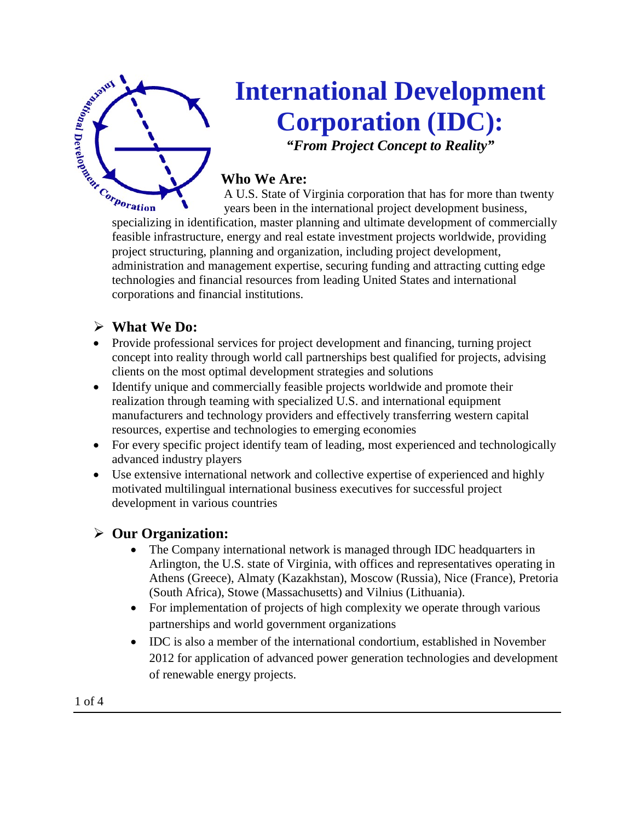

# **International Development Corporation (IDC): Example 2011 Corporation (IDC):**<br> **Corporation (IDC):**<br> **Corporation (IDC):**<br> **Corporation (IDC):**<br>
Who We Are:<br>
A U.S. State of Virginia corporation that has for more than twenty<br>
specializing in identification, master p

*"From Project Concept to Reality"*

# **Who We Are:**

A U.S. State of Virginia corporation that has for more than twenty years been in the international project development business,

feasible infrastructure, energy and real estate investment projects worldwide, providing project structuring, planning and organization, including project development, administration and management expertise, securing funding and attracting cutting edge technologies and financial resources from leading United States and international corporations and financial institutions.

# **What We Do:**

- Provide professional services for project development and financing, turning project concept into reality through world call partnerships best qualified for projects, advising clients on the most optimal development strategies and solutions
- Identify unique and commercially feasible projects worldwide and promote their realization through teaming with specialized U.S. and international equipment manufacturers and technology providers and effectively transferring western capital resources, expertise and technologies to emerging economies
- For every specific project identify team of leading, most experienced and technologically advanced industry players
- Use extensive international network and collective expertise of experienced and highly motivated multilingual international business executives for successful project development in various countries

# **Our Organization:**

- The Company international network is managed through IDC headquarters in Arlington, the U.S. state of Virginia, with offices and representatives operating in Athens (Greece), Almaty (Kazakhstan), Moscow (Russia), Nice (France), Pretoria (South Africa), Stowe (Massachusetts) and Vilnius (Lithuania).
- For implementation of projects of high complexity we operate through various partnerships and world government organizations
- IDC is also a member of the international condortium, established in November 2012 for application of advanced power generation technologies and development of renewable energy projects.

1 of 4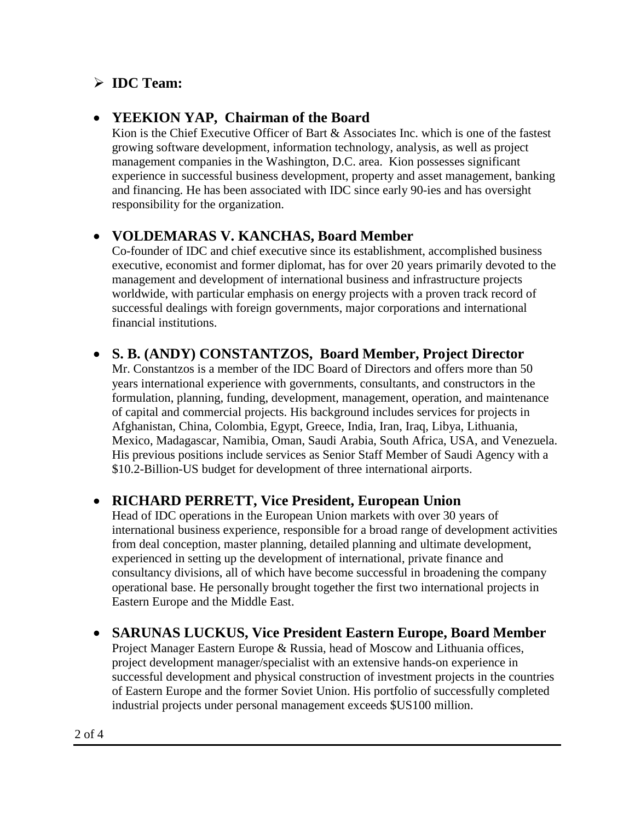# **IDC Team:**

## • **YEEKION YAP, Chairman of the Board**

Kion is the Chief Executive Officer of Bart & Associates Inc. which is one of the fastest growing software development, information technology, analysis, as well as project management companies in the Washington, D.C. area. Kion possesses significant experience in successful business development, property and asset management, banking and financing. He has been associated with IDC since early 90-ies and has oversight responsibility for the organization.

# • **VOLDEMARAS V. KANCHAS, Board Member**

Co-founder of IDC and chief executive since its establishment, accomplished business executive, economist and former diplomat, has for over 20 years primarily devoted to the management and development of international business and infrastructure projects worldwide, with particular emphasis on energy projects with a proven track record of successful dealings with foreign governments, major corporations and international financial institutions.

## • **S. B. (ANDY) CONSTANTZOS, Board Member, Project Director**

Mr. Constantzos is a member of the IDC Board of Directors and offers more than 50 years international experience with governments, consultants, and constructors in the formulation, planning, funding, development, management, operation, and maintenance of capital and commercial projects. His background includes services for projects in Afghanistan, China, Colombia, Egypt, Greece, India, Iran, Iraq, Libya, Lithuania, Mexico, Madagascar, Namibia, Oman, Saudi Arabia, South Africa, USA, and Venezuela. His previous positions include services as Senior Staff Member of Saudi Agency with a \$10.2-Billion-US budget for development of three international airports.

## • **RICHARD PERRETT, Vice President, European Union**

Head of IDC operations in the European Union markets with over 30 years of international business experience, responsible for a broad range of development activities from deal conception, master planning, detailed planning and ultimate development, experienced in setting up the development of international, private finance and consultancy divisions, all of which have become successful in broadening the company operational base. He personally brought together the first two international projects in Eastern Europe and the Middle East.

## • **SARUNAS LUCKUS, Vice President Eastern Europe, Board Member**

Project Manager Eastern Europe & Russia, head of Moscow and Lithuania offices, project development manager/specialist with an extensive hands-on experience in successful development and physical construction of investment projects in the countries of Eastern Europe and the former Soviet Union. His portfolio of successfully completed industrial projects under personal management exceeds \$US100 million.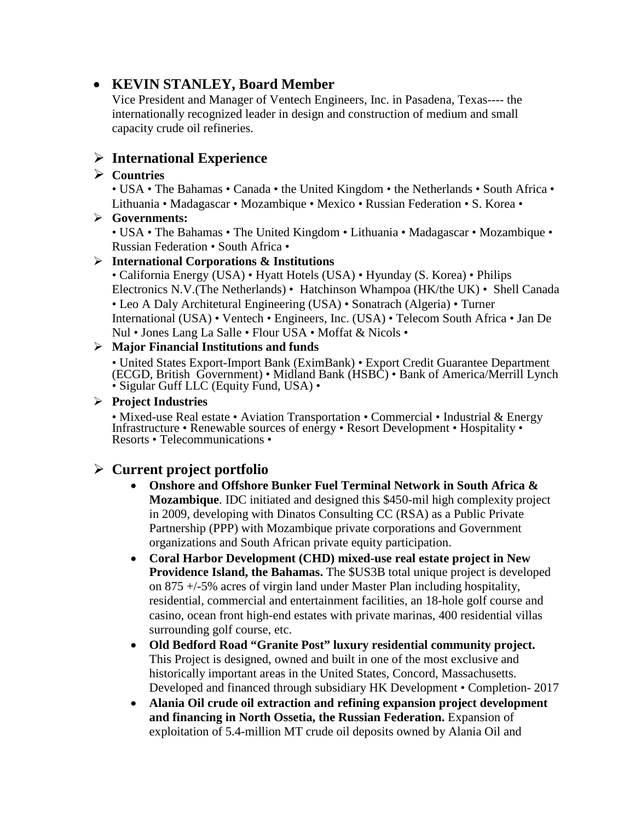## • **KEVIN STANLEY, Board Member**

Vice President and Manager of Ventech Engineers, Inc. in Pasadena, Texas---- the internationally recognized leader in design and construction of medium and small capacity crude oil refineries.

## **International Experience**

#### **Countries**

• USA • The Bahamas • Canada • the United Kingdom • the Netherlands • South Africa • Lithuania • Madagascar • Mozambique • Mexico • Russian Federation • S. Korea •

#### **Governments:**

• USA • The Bahamas • The United Kingdom • Lithuania • Madagascar • Mozambique • Russian Federation • South Africa •

#### **International Corporations & Institutions**

• California Energy (USA) • Hyatt Hotels (USA) • Hyunday (S. Korea) • Philips Electronics N.V.(The Netherlands) • Hatchinson Whampoa (HK/the UK) • Shell Canada • Leo A Daly Architetural Engineering (USA) • Sonatrach (Algeria) • Turner International (USA) • Ventech • Engineers, Inc. (USA) • Telecom South Africa • Jan De Nul • Jones Lang La Salle • Flour USA • Moffat & Nicols •

#### **Major Financial Institutions and funds**

• United States Export-Import Bank (EximBank) • Export Credit Guarantee Department (ECGD, British Government) • Midland Bank (HSBC) • Bank of America/Merrill Lynch • Sigular Guff LLC (Equity Fund, USA) •

#### **Project Industries**

• Mixed-use Real estate • Aviation Transportation • Commercial • Industrial & Energy Infrastructure • Renewable sources of energy • Resort Development • Hospitality • Resorts • Telecommunications •

## **Current project portfolio**

- **Onshore and Offshore Bunker Fuel Terminal Network in South Africa & Mozambique**. IDC initiated and designed this \$450-mil high complexity project in 2009, developing with Dinatos Consulting CC (RSA) as a Public Private Partnership (PPP) with Mozambique private corporations and Government organizations and South African private equity participation.
- **Coral Harbor Development (CHD) mixed-use real estate project in New Providence Island, the Bahamas.** The \$US3B total unique project is developed on 875 +/-5% acres of virgin land under Master Plan including hospitality, residential, commercial and entertainment facilities, an 18-hole golf course and casino, ocean front high-end estates with private marinas, 400 residential villas surrounding golf course, etc.
- **Old Bedford Road "Granite Post" luxury residential community project.**  This Project is designed, owned and built in one of the most exclusive and historically important areas in the United States, Concord, Massachusetts. Developed and financed through subsidiary HK Development • Completion- 2017
- **Alania Oil crude oil extraction and refining expansion project development and financing in North Ossetia, the Russian Federation.** Expansion of exploitation of 5.4-million MT crude oil deposits owned by Alania Oil and